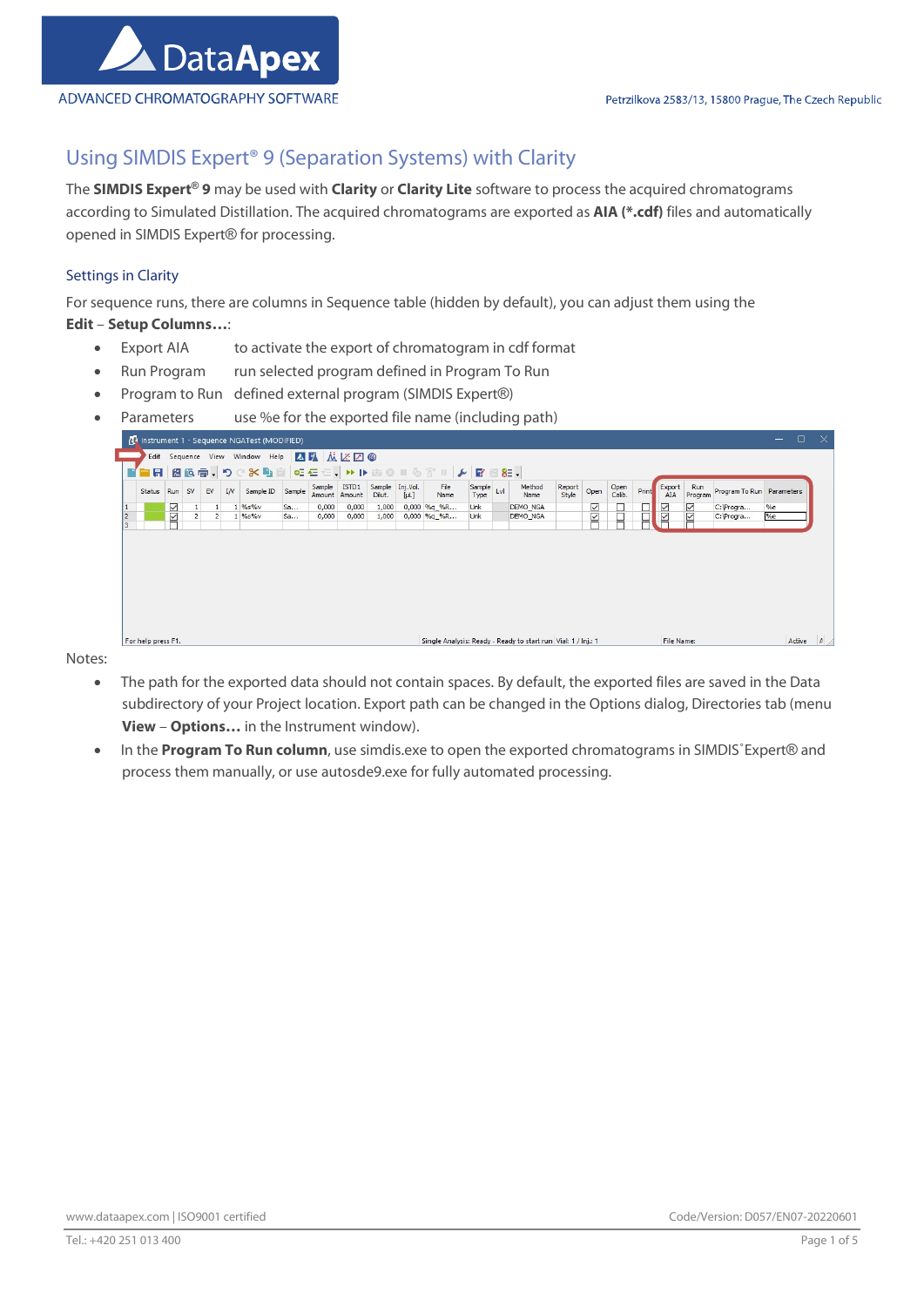

# Using SIMDIS Expert® 9 (Separation Systems) with Clarity

The SIMDIS Expert® 9 may be used with Clarity or Clarity Lite software to process the acquired chromatograms according to Simulated Distillation. The acquired chromatograms are exported as AIA (\*.cdf) files and automatically opened in SIMDIS Expert® for processing.

# Settings in Clarity

For sequence runs, there are columns in Sequence table (hidden by default), you can adjust them using the Edit – Setup Columns…:

- Export AIA to activate the export of chromatogram in cdf format
- Run Program run selected program defined in Program To Run
- Program to Run defined external program (SIMDIS Expert®)
- Parameters use %e for the exported file name (including path)

| Status | Run           | <b>SV</b>      | EV             | IN | Sample ID | Sample | Sample | ISTD1<br>Amount Amount | Sample Inj.Vol.<br>Dilut. | $[\mu$ L] | File<br>Name | Sample Lvl<br>Type | Method<br>Name  | Report<br>Style | Open | Open<br>Calib. | Print | Export<br>AIA | Run<br>Program        | Program To Run Parameters |    |
|--------|---------------|----------------|----------------|----|-----------|--------|--------|------------------------|---------------------------|-----------|--------------|--------------------|-----------------|-----------------|------|----------------|-------|---------------|-----------------------|---------------------------|----|
|        |               |                | $\mathbf{1}$   |    | $%S$ %    | Sa     | 0,000  | 0,000                  | 1,000                     |           | 0,000 %g %R  | Unk                | <b>DEMO NGA</b> |                 |      |                | H     |               | $\overline{\text{N}}$ | C: Progra                 | %e |
|        | $\frac{1}{2}$ | $\overline{2}$ | $\overline{2}$ |    | $1\%$ s%v | Sa     | 0,000  | 0,000                  | 1,000                     |           | 0,000 %g %R  | Unk                | <b>DEMO NGA</b> |                 | NN   |                |       | NN            |                       | C:\Progra                 | %e |
|        |               |                |                |    |           |        |        |                        |                           |           |              |                    |                 |                 |      |                |       |               |                       |                           |    |

Notes:

- The path for the exported data should not contain spaces. By default, the exported files are saved in the Data subdirectory of your Project location. Export path can be changed in the Options dialog, Directories tab (menu View – Options... in the Instrument window).
- In the Program To Run column, use simdis.exe to open the exported chromatograms in SIMDIS°Expert® and process them manually, or use autosde9.exe for fully automated processing.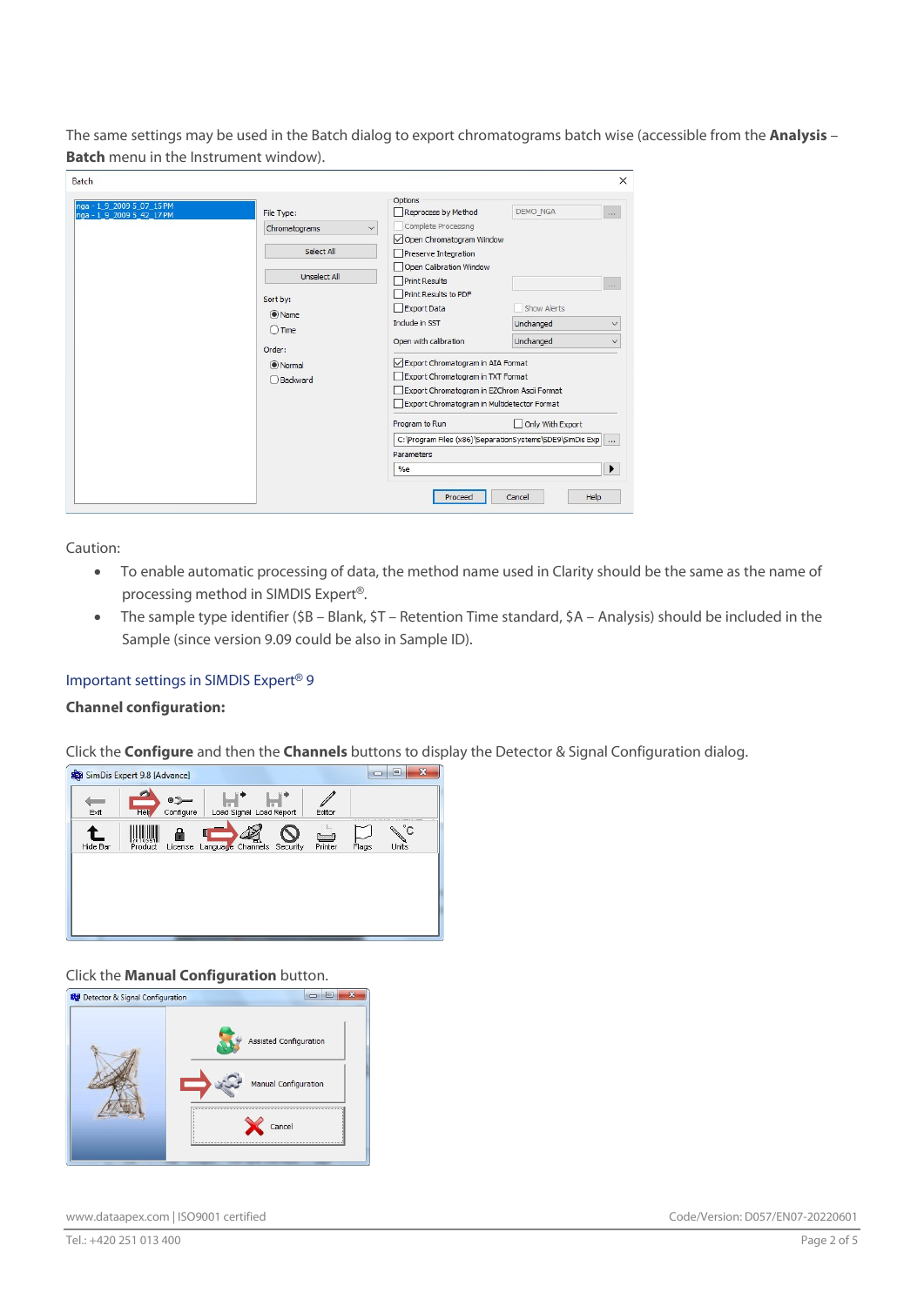The same settings may be used in the Batch dialog to export chromatograms batch wise (accessible from the Analysis -**Batch** menu in the Instrument window).

| <b>Batch</b>                                           |                     |                                                                        | $\times$                                                   |
|--------------------------------------------------------|---------------------|------------------------------------------------------------------------|------------------------------------------------------------|
| nga - 1_9_2009 5_07_15 PM<br>nga - 1 9 2009 5 42 17 PM | File Type:          | Options<br>Reprocess by Method                                         | DEMO NGA<br>                                               |
|                                                        | Chromatograms       | Complete Processing<br>$\checkmark$<br>Open Chromatogram Window        |                                                            |
|                                                        | Select All          | Preserve Integration                                                   |                                                            |
|                                                        | <b>Unselect All</b> | Open Calibration Window<br>Print Results                               |                                                            |
|                                                        | Sort by:            | Print Results to PDF                                                   | 1.1.1                                                      |
|                                                        | $\odot$ Name        | Export Data<br>Include in SST                                          | Show Alerts                                                |
|                                                        | $\bigcirc$ Time     | Open with calibration                                                  | Unchanged<br>$\checkmark$<br>Unchanged<br>$\checkmark$     |
|                                                        | Order:              |                                                                        |                                                            |
|                                                        | O Normal            | Export Chromatogram in AIA Format<br>Export Chromatogram in TXT Format |                                                            |
|                                                        | Backward            | Export Chromatogram in EZChrom Ascii Format                            |                                                            |
|                                                        |                     | Export Chromatogram in Multidetector Format                            |                                                            |
|                                                        |                     | Program to Run                                                         | Only With Export                                           |
|                                                        |                     |                                                                        | C: Program Files (x86) \SeparationSystems \SDE9\SimDis Exp |
|                                                        |                     | <b>Parameters</b><br>%e                                                | ▶                                                          |
|                                                        |                     |                                                                        |                                                            |
|                                                        |                     | Proceed                                                                | Help<br>Cancel                                             |

Caution:

- To enable automatic processing of data, the method name used in Clarity should be the same as the name of processing method in SIMDIS Expert®.
- The sample type identifier (\$B Blank, \$T Retention Time standard, \$A Analysis) should be included in the Sample (since version 9.09 could be also in Sample ID).

# Important settings in SIMDIS Expert® 9

# Channel configuration:

Click the **Configure** and then the **Channels** buttons to display the Detector & Signal Configuration dialog.



# Click the Manual Configuration button.

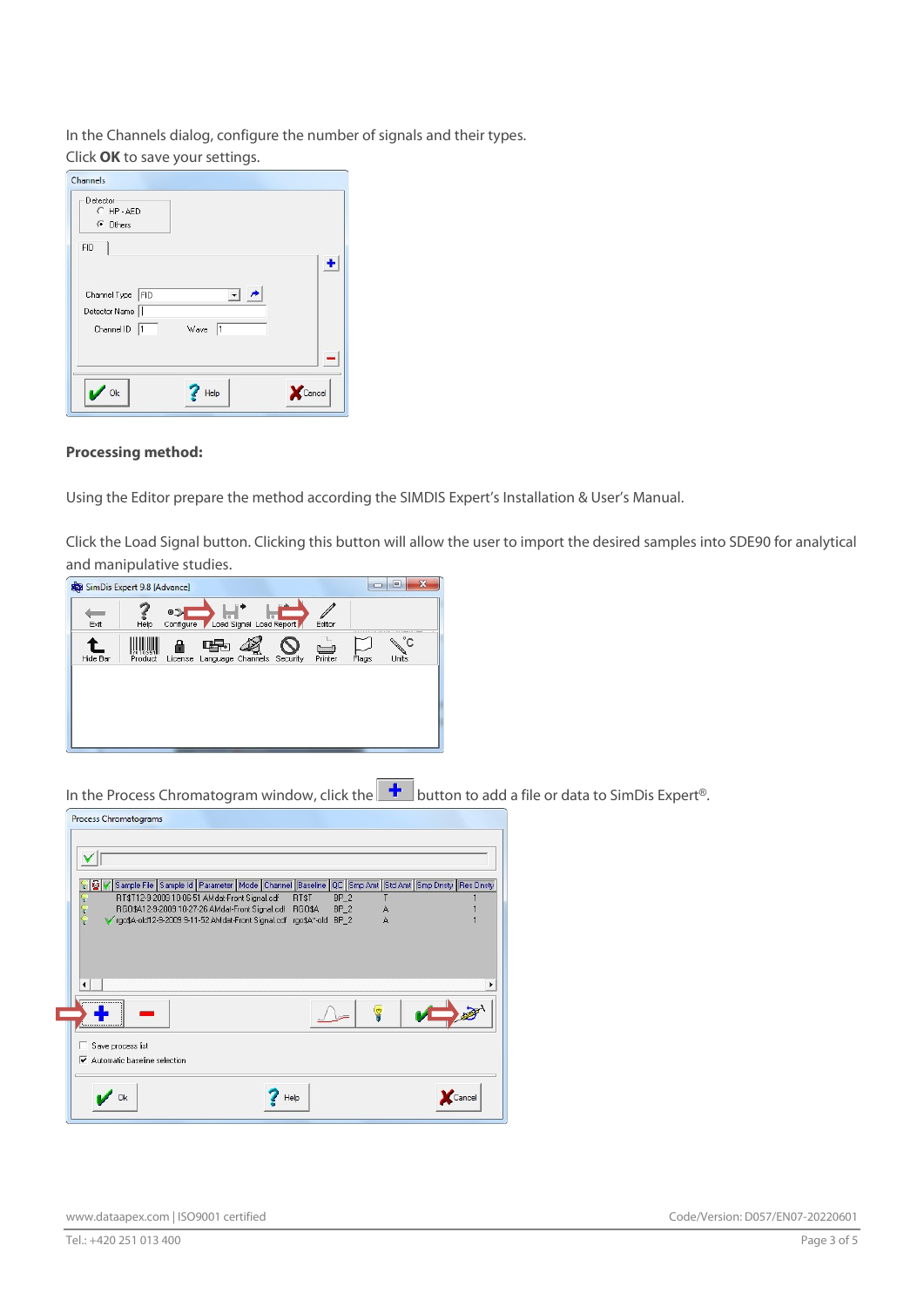In the Channels dialog, configure the number of signals and their types.

Click OK to save your settings.

| Detector<br>C HP-AED<br>G Others                        |                                           |  |
|---------------------------------------------------------|-------------------------------------------|--|
| <b>FID</b>                                              |                                           |  |
| Channel Type   FID<br>Detector Name<br>Channel ID<br>ł1 | $\blacktriangledown$<br>Wave<br>$\vert$ 1 |  |
|                                                         |                                           |  |
|                                                         |                                           |  |

#### Processing method:

Using the Editor prepare the method according the SIMDIS Expert's Installation & User's Manual.

Click the Load Signal button. Clicking this button will allow the user to import the desired samples into SDE90 for analytical and manipulative studies.

| SimDis Expert 9.8 [Advance] |                |                    |                   |                         |          |                          | $\Box$ | $\mathbf{x}$<br>▣                            |
|-----------------------------|----------------|--------------------|-------------------|-------------------------|----------|--------------------------|--------|----------------------------------------------|
| Exit                        | Help           | 0.7<br>Configure / |                   | Load Signal Load Report |          | Editor                   |        |                                              |
| Hide Bar                    | 591<br>Product | License            | Language Channels |                         | Security | <b>Common</b><br>Printer | Flags  | $^{\circ}$ C<br><b>CONSTRUCTION</b><br>Units |
|                             |                |                    |                   |                         |          |                          |        |                                              |
|                             |                |                    |                   |                         |          |                          |        |                                              |
|                             |                |                    |                   |                         |          |                          |        |                                              |

In the Process Chromatogram window, click the **+** button to add a file or data to SimDis Expert<sup>®</sup>.

|        |                   | Sample File Sample Id Parameter Mode Channel Baseline QC Smp Amt Std Amt Smp Dnsty Res Dnsty |       |                 |   |  |
|--------|-------------------|----------------------------------------------------------------------------------------------|-------|-----------------|---|--|
|        |                   | RT\$T12-9-2009 10-06-51 AMdat-Front Signal.cdf                                               | RT\$T | BP <sub>2</sub> |   |  |
| () 長 美 |                   | RGO\$A12-9-2009 10-27-26 AMdat-Front Signal.cdf RGO\$A                                       |       | $BP_2$          | А |  |
|        |                   | V rgo\$A-old12-9-2009 9-11-52 AMdat-Front Signal.cdf rgo\$A*-old                             |       | $BP_2$          | A |  |
| ۰      |                   |                                                                                              |       |                 |   |  |
|        |                   |                                                                                              |       |                 |   |  |
|        | Save process list |                                                                                              |       |                 |   |  |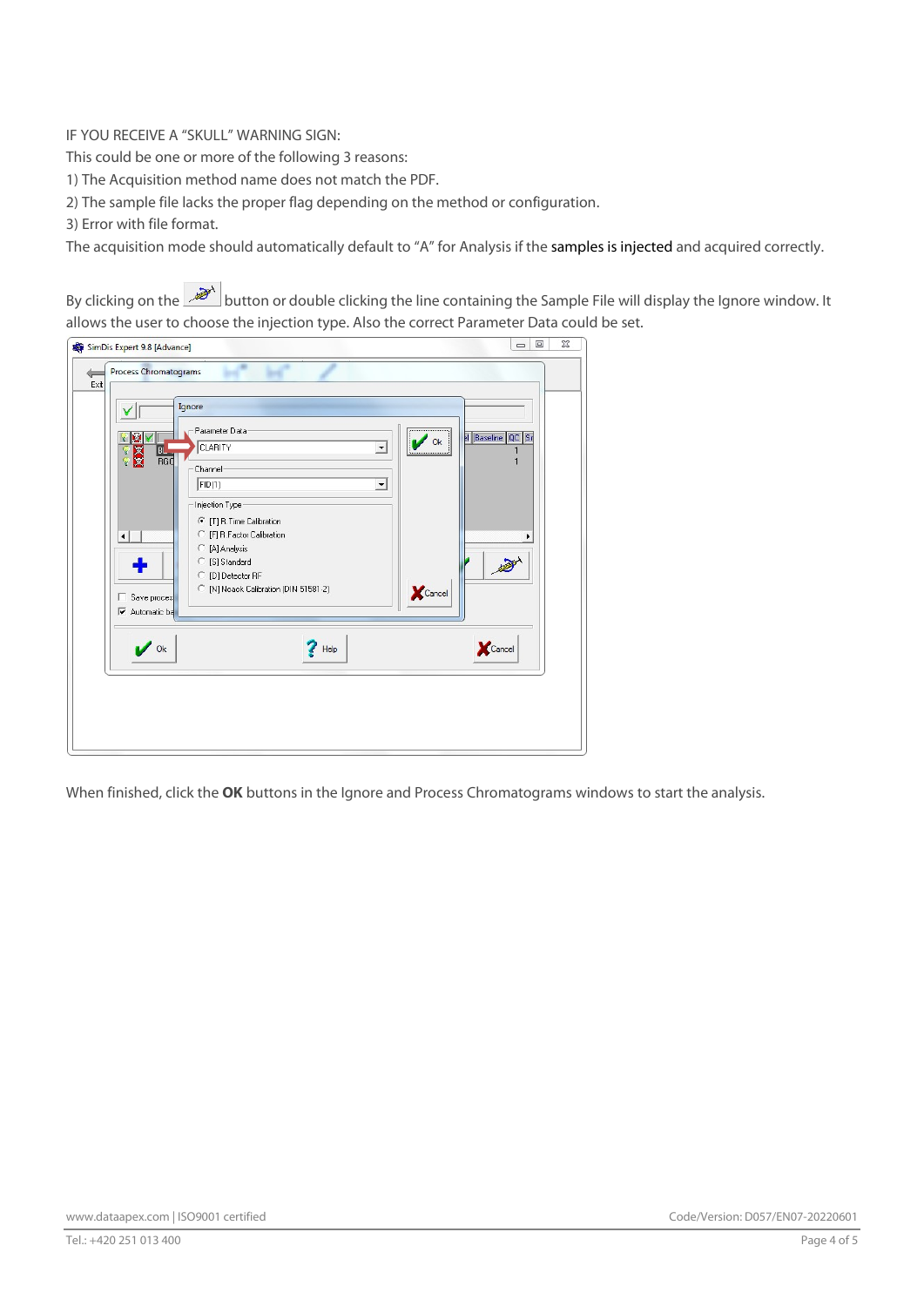# IF YOU RECEIVE A "SKULL" WARNING SIGN:

This could be one or more of the following 3 reasons:

1) The Acquisition method name does not match the PDF.

2) The sample file lacks the proper flag depending on the method or configuration.

3) Error with file format.

The acquisition mode should automatically default to "A" for Analysis if the samples is injected and acquired correctly.

By clicking on the button or double clicking the line containing the Sample File will display the Ignore window. It allows the user to choose the injection type. Also the correct Parameter Data could be set.

| Parameter Data-<br>м<br>Y<br>CLARITY<br>$\blacktriangledown$<br>Įвı                                                                                                                                                                                                                                                               | Bl Baseline QC Sr<br>Ok |
|-----------------------------------------------------------------------------------------------------------------------------------------------------------------------------------------------------------------------------------------------------------------------------------------------------------------------------------|-------------------------|
| 9<br>9 <mark>数</mark><br>RGO<br>Channel<br>FID(1)<br>$\blacktriangledown$<br>Injection Type:<br>← [T] R.Time Calibration<br>C [F] R.Factor Calibration<br>$\blacktriangleleft$<br>[A] Analysis<br>C<br>[S] Standard<br>O<br>[D] Detector RF<br>C<br>C [N] Noack Calibration (DIN 51581-2)<br>Save proces<br><b>▽</b> Automatic ba | Cancel                  |
| <b>Ok</b><br>Help                                                                                                                                                                                                                                                                                                                 | Cancel                  |

When finished, click the OK buttons in the Ignore and Process Chromatograms windows to start the analysis.